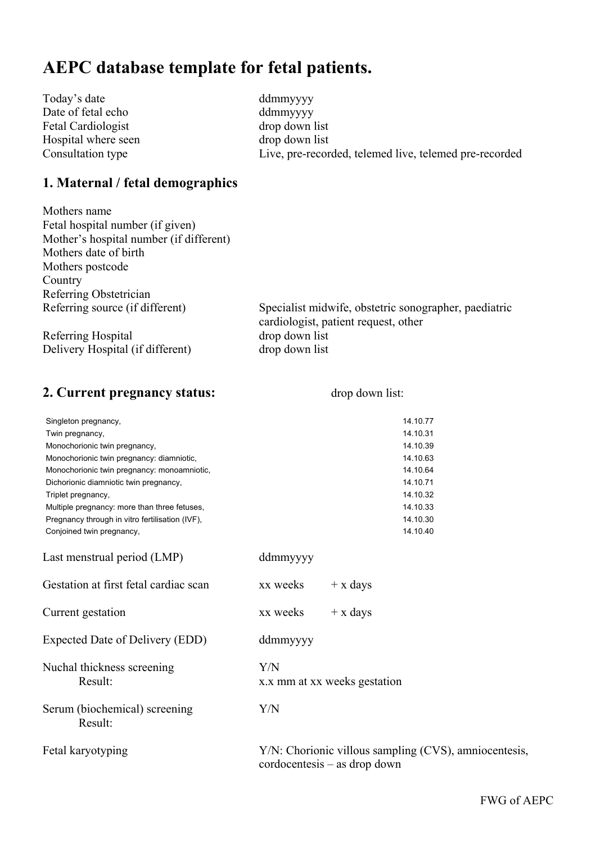# **AEPC database template for fetal patients.**

Today's date ddmmyyyy Date of fetal echo ddmmyyyy Fetal Cardiologist drop down list Hospital where seen drop down list

Consultation type Live, pre-recorded, telemed live, telemed pre-recorded

## **1. Maternal / fetal demographics**

Mothers name Fetal hospital number (if given) Mother's hospital number (if different) Mothers date of birth Mothers postcode Country Referring Obstetrician

Referring Hospital drop down list Delivery Hospital (if different) drop down list

Referring source (if different) Specialist midwife, obstetric sonographer, paediatric cardiologist, patient request, other

## **2. Current pregnancy status:** drop down list:

| Singleton pregnancy,<br>Twin pregnancy,<br>Monochorionic twin pregnancy,<br>Monochorionic twin pregnancy: diamniotic,<br>Monochorionic twin pregnancy: monoamniotic,<br>Dichorionic diamniotic twin pregnancy,<br>Triplet pregnancy,<br>Multiple pregnancy: more than three fetuses,<br>Pregnancy through in vitro fertilisation (IVF), |          |                              | 14.10.77<br>14.10.31<br>14.10.39<br>14.10.63<br>14.10.64<br>14.10.71<br>14.10.32<br>14.10.33<br>14.10.30 |
|-----------------------------------------------------------------------------------------------------------------------------------------------------------------------------------------------------------------------------------------------------------------------------------------------------------------------------------------|----------|------------------------------|----------------------------------------------------------------------------------------------------------|
| Conjoined twin pregnancy,                                                                                                                                                                                                                                                                                                               |          |                              | 14.10.40                                                                                                 |
| Last menstrual period (LMP)                                                                                                                                                                                                                                                                                                             | ddmmyyyy |                              |                                                                                                          |
| Gestation at first fetal cardiac scan                                                                                                                                                                                                                                                                                                   | xx weeks | $+ x \, days$                |                                                                                                          |
| Current gestation                                                                                                                                                                                                                                                                                                                       | xx weeks | $+ x \, days$                |                                                                                                          |
| Expected Date of Delivery (EDD)                                                                                                                                                                                                                                                                                                         | ddmmyyyy |                              |                                                                                                          |
| Nuchal thickness screening<br>Result:                                                                                                                                                                                                                                                                                                   | Y/N      | x.x mm at xx weeks gestation |                                                                                                          |
| Serum (biochemical) screening<br>Result:                                                                                                                                                                                                                                                                                                | Y/N      |                              |                                                                                                          |
| Fetal karyotyping                                                                                                                                                                                                                                                                                                                       |          | cordocentesis – as drop down | Y/N: Chorionic villous sampling (CVS), amniocentesis,                                                    |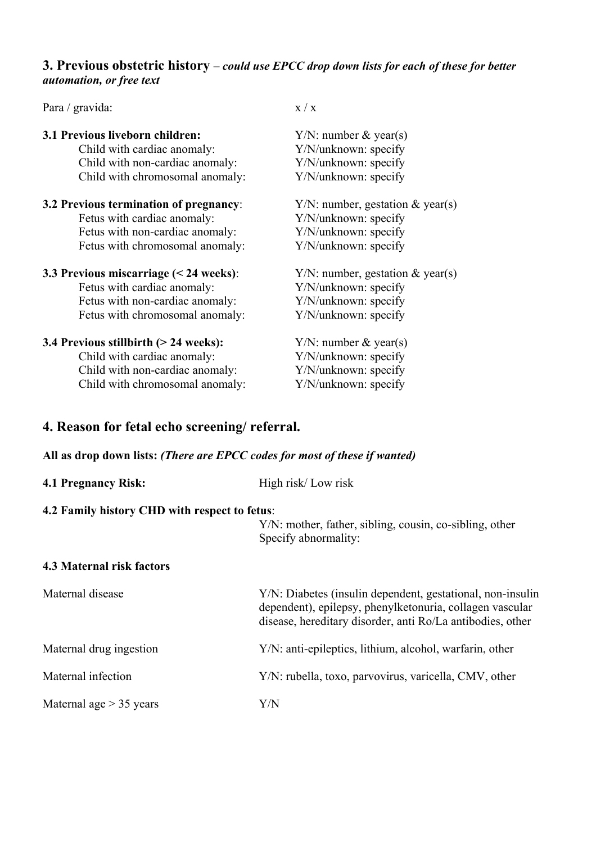## **3. Previous obstetric history** – *could use EPCC drop down lists for each of these for better automation, or free text*

Para / gravida:  $x / x$ 

| 3.1 Previous liveborn children:<br>Child with cardiac anomaly: | $Y/N$ : number & year(s)<br>Y/N/unknown: specify |
|----------------------------------------------------------------|--------------------------------------------------|
| Child with non-cardiac anomaly:                                | Y/N/unknown: specify                             |
| Child with chromosomal anomaly:                                | Y/N/unknown: specify                             |
| 3.2 Previous termination of pregnancy:                         | $Y/N$ : number, gestation & year(s)              |
| Fetus with cardiac anomaly:                                    | Y/N/unknown: specify                             |
| Fetus with non-cardiac anomaly:                                | Y/N/unknown: specify                             |
| Fetus with chromosomal anomaly:                                | Y/N/unknown: specify                             |
| 3.3 Previous miscarriage $(< 24$ weeks):                       | $Y/N$ : number, gestation & year(s)              |
| Fetus with cardiac anomaly:                                    | Y/N/unknown: specify                             |
| Fetus with non-cardiac anomaly:                                | Y/N/unknown: specify                             |
| Fetus with chromosomal anomaly:                                | Y/N/unknown: specify                             |
| 3.4 Previous stillbirth (> 24 weeks):                          | $Y/N$ : number & year(s)                         |
| Child with cardiac anomaly:                                    | Y/N/unknown: specify                             |
| Child with non-cardiac anomaly:                                | Y/N/unknown: specify                             |
| Child with chromosomal anomaly:                                | Y/N/unknown: specify                             |

# **4. Reason for fetal echo screening/ referral.**

## **All as drop down lists:** *(There are EPCC codes for most of these if wanted)*

| <b>4.1 Pregnancy Risk:</b>                    | High risk/Low risk                                                                                                                                                                   |
|-----------------------------------------------|--------------------------------------------------------------------------------------------------------------------------------------------------------------------------------------|
| 4.2 Family history CHD with respect to fetus: |                                                                                                                                                                                      |
|                                               | Y/N: mother, father, sibling, cousin, co-sibling, other<br>Specify abnormality:                                                                                                      |
| <b>4.3 Maternal risk factors</b>              |                                                                                                                                                                                      |
| Maternal disease                              | Y/N: Diabetes (insulin dependent, gestational, non-insulin<br>dependent), epilepsy, phenylketonuria, collagen vascular<br>disease, hereditary disorder, anti Ro/La antibodies, other |
| Maternal drug ingestion                       | Y/N: anti-epileptics, lithium, alcohol, warfarin, other                                                                                                                              |
| Maternal infection                            | Y/N: rubella, toxo, parvovirus, varicella, CMV, other                                                                                                                                |
| Maternal age $> 35$ years                     | Y/N                                                                                                                                                                                  |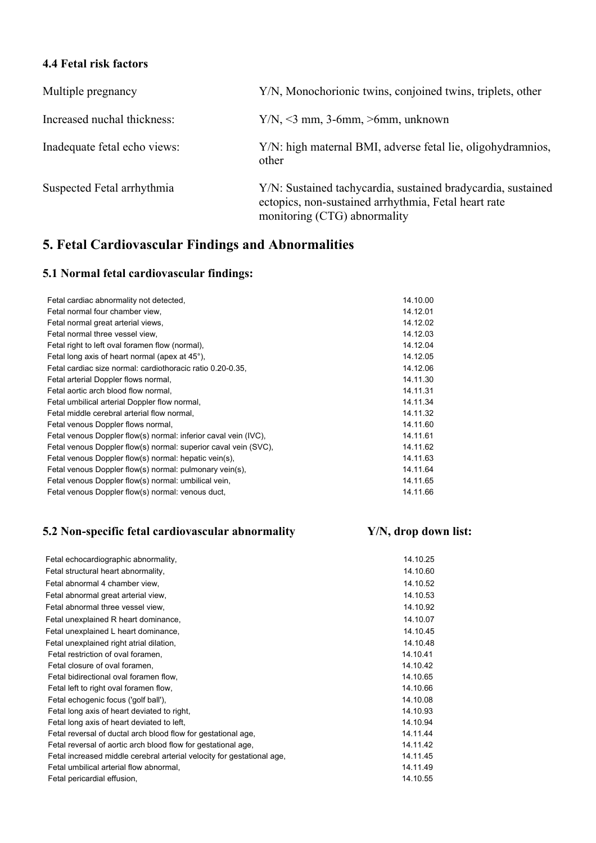## **4.4 Fetal risk factors**

| Multiple pregnancy           | Y/N, Monochorionic twins, conjoined twins, triplets, other                                                                                           |
|------------------------------|------------------------------------------------------------------------------------------------------------------------------------------------------|
| Increased nuchal thickness:  | $Y/N, \leq 3$ mm, 3-6mm, $>6$ mm, unknown                                                                                                            |
| Inadequate fetal echo views: | Y/N: high maternal BMI, adverse fetal lie, oligohydramnios,<br>other                                                                                 |
| Suspected Fetal arrhythmia   | Y/N: Sustained tachycardia, sustained bradycardia, sustained<br>ectopics, non-sustained arrhythmia, Fetal heart rate<br>monitoring (CTG) abnormality |

# **5. Fetal Cardiovascular Findings and Abnormalities**

## **5.1 Normal fetal cardiovascular findings:**

| Fetal cardiac abnormality not detected,                         | 14.10.00 |
|-----------------------------------------------------------------|----------|
| Fetal normal four chamber view,                                 | 14.12.01 |
| Fetal normal great arterial views,                              | 14.12.02 |
| Fetal normal three vessel view.                                 | 14.12.03 |
| Fetal right to left oval foramen flow (normal).                 | 14.12.04 |
| Fetal long axis of heart normal (apex at 45°),                  | 14.12.05 |
| Fetal cardiac size normal: cardiothoracic ratio 0.20-0.35,      | 14.12.06 |
| Fetal arterial Doppler flows normal,                            | 14.11.30 |
| Fetal aortic arch blood flow normal,                            | 14.11.31 |
| Fetal umbilical arterial Doppler flow normal.                   | 14.11.34 |
| Fetal middle cerebral arterial flow normal.                     | 14.11.32 |
| Fetal venous Doppler flows normal,                              | 14.11.60 |
| Fetal venous Doppler flow(s) normal: inferior caval vein (IVC), | 14.11.61 |
| Fetal venous Doppler flow(s) normal: superior caval vein (SVC), | 14.11.62 |
| Fetal venous Doppler flow(s) normal: hepatic vein(s),           | 14.11.63 |
| Fetal venous Doppler flow(s) normal: pulmonary vein(s),         | 14.11.64 |
| Fetal venous Doppler flow(s) normal: umbilical vein,            | 14.11.65 |
| Fetal venous Doppler flow(s) normal: venous duct,               | 14.11.66 |
|                                                                 |          |

## **5.2 Non-specific fetal cardiovascular abnormality Y/N, drop down list:**

| Fetal echocardiographic abnormality,                                   | 14.10.25 |
|------------------------------------------------------------------------|----------|
| Fetal structural heart abnormality,                                    | 14.10.60 |
| Fetal abnormal 4 chamber view,                                         | 14.10.52 |
| Fetal abnormal great arterial view,                                    | 14.10.53 |
| Fetal abnormal three vessel view,                                      | 14.10.92 |
| Fetal unexplained R heart dominance,                                   | 14.10.07 |
| Fetal unexplained L heart dominance,                                   | 14.10.45 |
| Fetal unexplained right atrial dilation,                               | 14.10.48 |
| Fetal restriction of oval foramen,                                     | 14.10.41 |
| Fetal closure of oval foramen,                                         | 14.10.42 |
| Fetal bidirectional oval foramen flow.                                 | 14.10.65 |
| Fetal left to right oval foramen flow,                                 | 14.10.66 |
| Fetal echogenic focus ('golf ball'),                                   | 14.10.08 |
| Fetal long axis of heart deviated to right,                            | 14.10.93 |
| Fetal long axis of heart deviated to left,                             | 14.10.94 |
| Fetal reversal of ductal arch blood flow for gestational age,          | 14.11.44 |
| Fetal reversal of aortic arch blood flow for gestational age,          | 14.11.42 |
| Fetal increased middle cerebral arterial velocity for gestational age, | 14.11.45 |
| Fetal umbilical arterial flow abnormal,                                | 14.11.49 |
| Fetal pericardial effusion,                                            | 14.10.55 |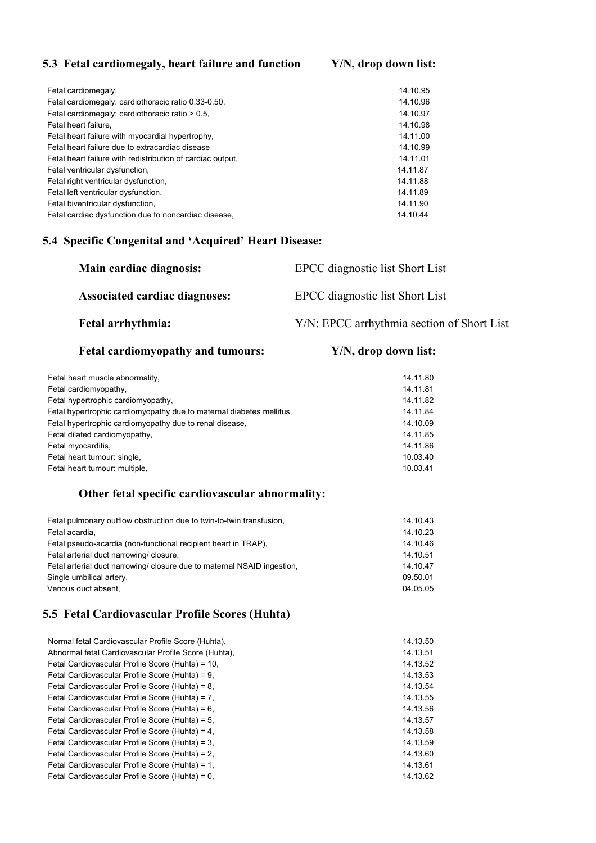## **5.3 Fetal cardiomegaly, heart failure and function Y/N, drop down list:**

| Fetal cardiomegaly,                                        | 14.10.95 |
|------------------------------------------------------------|----------|
| Fetal cardiomegaly: cardiothoracic ratio 0.33-0.50,        | 14.10.96 |
| Fetal cardiomegaly: cardiothoracic ratio > 0.5,            | 14.10.97 |
| Fetal heart failure.                                       | 14.10.98 |
| Fetal heart failure with myocardial hypertrophy,           | 14.11.00 |
| Fetal heart failure due to extracardiac disease            | 14.10.99 |
| Fetal heart failure with redistribution of cardiac output. | 14.11.01 |
| Fetal ventricular dysfunction,                             | 14.11.87 |
| Fetal right ventricular dysfunction.                       | 14.11.88 |
| Fetal left ventricular dysfunction,                        | 14.11.89 |
| Fetal biventricular dysfunction.                           | 14.11.90 |
| Fetal cardiac dysfunction due to noncardiac disease.       | 14.10.44 |

## **5.4 Specific Congenital and 'Acquired' Heart Disease:**

| Main cardiac diagnosis:              | EPCC diagnostic list Short List            |
|--------------------------------------|--------------------------------------------|
| <b>Associated cardiac diagnoses:</b> | EPCC diagnostic list Short List            |
| <b>Fetal arrhythmia:</b>             | Y/N: EPCC arrhythmia section of Short List |

## Fetal cardiomyopathy and tumours: Y/N, drop down list:

| 14.11.80 |
|----------|
| 14.11.81 |
| 14.11.82 |
| 14.11.84 |
| 14.10.09 |
| 14.11.85 |
| 14.11.86 |
| 10.03.40 |
| 10.03.41 |
|          |

## **Other fetal specific cardiovascular abnormality:**

| Fetal pulmonary outflow obstruction due to twin-to-twin transfusion.    | 14.10.43 |
|-------------------------------------------------------------------------|----------|
| Fetal acardia,                                                          | 14.10.23 |
| Fetal pseudo-acardia (non-functional recipient heart in TRAP).          | 14.10.46 |
| Fetal arterial duct narrowing/closure.                                  | 14.10.51 |
| Fetal arterial duct narrowing/ closure due to maternal NSAID ingestion. | 14.10.47 |
| Single umbilical artery,                                                | 09.50.01 |
| Venous duct absent.                                                     | 04.05.05 |
|                                                                         |          |

## **5.5 Fetal Cardiovascular Profile Scores (Huhta)**

| Normal fetal Cardiovascular Profile Score (Huhta),   | 14.13.50 |
|------------------------------------------------------|----------|
| Abnormal fetal Cardiovascular Profile Score (Huhta), | 14.13.51 |
| Fetal Cardiovascular Profile Score (Huhta) = 10,     | 14.13.52 |
| Fetal Cardiovascular Profile Score (Huhta) = 9.      | 14.13.53 |
| Fetal Cardiovascular Profile Score (Huhta) = 8.      | 14.13.54 |
| Fetal Cardiovascular Profile Score (Huhta) = 7.      | 14.13.55 |
| Fetal Cardiovascular Profile Score (Huhta) = 6,      | 14 13 56 |
| Fetal Cardiovascular Profile Score (Huhta) = 5.      | 14.13.57 |
| Fetal Cardiovascular Profile Score (Huhta) = 4.      | 14.13.58 |
| Fetal Cardiovascular Profile Score (Huhta) = 3.      | 14.13.59 |
| Fetal Cardiovascular Profile Score (Huhta) = 2.      | 14.13.60 |
| Fetal Cardiovascular Profile Score (Huhta) = 1.      | 14.13.61 |
| Fetal Cardiovascular Profile Score (Huhta) = 0.      | 14.13.62 |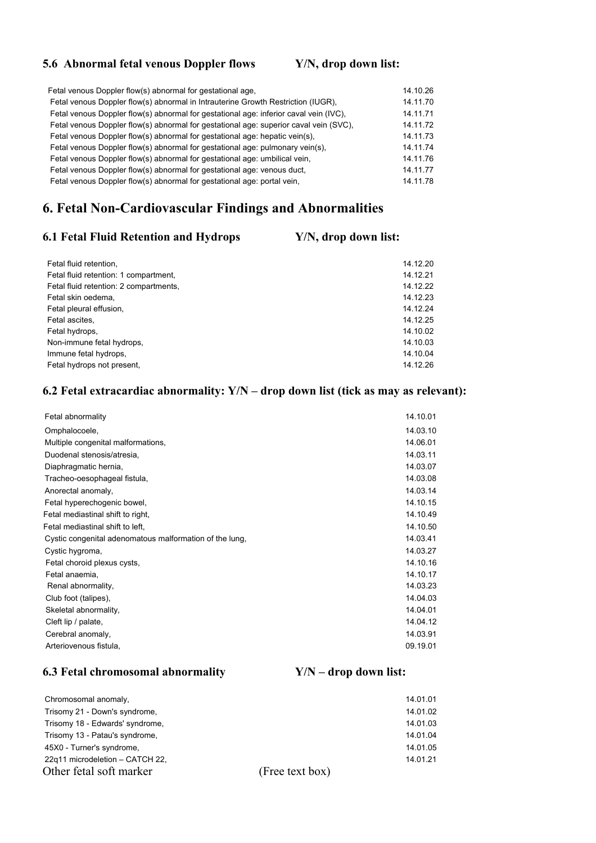## **5.6 Abnormal fetal venous Doppler flows Y/N, drop down list:**

| Fetal venous Doppler flow(s) abnormal for gestational age,                            | 14.10.26 |
|---------------------------------------------------------------------------------------|----------|
| Fetal venous Doppler flow(s) abnormal in Intrauterine Growth Restriction (IUGR).      | 14.11.70 |
| Fetal venous Doppler flow(s) abnormal for gestational age: inferior caval vein (IVC), | 14.11.71 |
| Fetal venous Doppler flow(s) abnormal for gestational age: superior caval vein (SVC), | 14.11.72 |
| Fetal venous Doppler flow(s) abnormal for gestational age: hepatic vein(s),           | 14.11.73 |
| Fetal venous Doppler flow(s) abnormal for gestational age: pulmonary vein(s),         | 14 11 74 |
| Fetal venous Doppler flow(s) abnormal for gestational age: umbilical vein.            | 14.11.76 |
| Fetal venous Doppler flow(s) abnormal for gestational age: venous duct,               | 14.11.77 |
| Fetal venous Doppler flow(s) abnormal for gestational age: portal vein.               | 14.11.78 |
|                                                                                       |          |

## **6. Fetal Non-Cardiovascular Findings and Abnormalities**

## **6.1 Fetal Fluid Retention and Hydrops Y/N, drop down list:**

| Fetal fluid retention.                 | 14.12.20 |
|----------------------------------------|----------|
| Fetal fluid retention: 1 compartment,  | 14.12.21 |
| Fetal fluid retention: 2 compartments, | 14.12.22 |
| Fetal skin oedema,                     | 14.12.23 |
| Fetal pleural effusion,                | 14.12.24 |
| Fetal ascites,                         | 14.12.25 |
| Fetal hydrops,                         | 14.10.02 |
| Non-immune fetal hydrops,              | 14.10.03 |
| Immune fetal hydrops,                  | 14.10.04 |
| Fetal hydrops not present.             | 14.12.26 |

## **6.2 Fetal extracardiac abnormality: Y/N – drop down list (tick as may as relevant):**

| Fetal abnormality                                       | 14.10.01 |
|---------------------------------------------------------|----------|
| Omphalocoele,                                           | 14.03.10 |
| Multiple congenital malformations,                      | 14.06.01 |
| Duodenal stenosis/atresia,                              | 14.03.11 |
| Diaphragmatic hernia,                                   | 14.03.07 |
| Tracheo-oesophageal fistula,                            | 14.03.08 |
| Anorectal anomaly,                                      | 14.03.14 |
| Fetal hyperechogenic bowel,                             | 14.10.15 |
| Fetal mediastinal shift to right,                       | 14.10.49 |
| Fetal mediastinal shift to left,                        | 14.10.50 |
| Cystic congenital adenomatous malformation of the lung, | 14.03.41 |
| Cystic hygroma,                                         | 14.03.27 |
| Fetal choroid plexus cysts,                             | 14.10.16 |
| Fetal anaemia,                                          | 14.10.17 |
| Renal abnormality,                                      | 14.03.23 |
| Club foot (talipes),                                    | 14.04.03 |
| Skeletal abnormality,                                   | 14.04.01 |
| Cleft lip / palate,                                     | 14.04.12 |
| Cerebral anomaly,                                       | 14.03.91 |
| Arteriovenous fistula.                                  | 09.19.01 |

## **6.3 Fetal chromosomal abnormality Y/N – drop down list:**

| Chromosomal anomaly,            |                 | 14.01.01 |
|---------------------------------|-----------------|----------|
| Trisomy 21 - Down's syndrome,   |                 | 14.01.02 |
| Trisomy 18 - Edwards' syndrome, |                 | 14.01.03 |
| Trisomy 13 - Patau's syndrome,  |                 | 14.01.04 |
| 45X0 - Turner's syndrome,       |                 | 14.01.05 |
| 22q11 microdeletion - CATCH 22, |                 | 14.01.21 |
| Other fetal soft marker         | (Free text box) |          |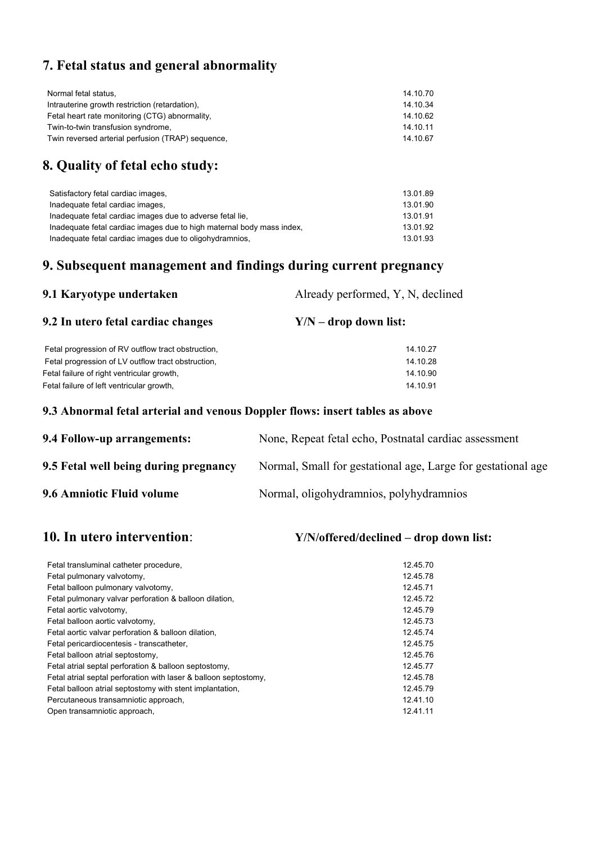# **7. Fetal status and general abnormality**

| Normal fetal status,                              | 14.10.70 |
|---------------------------------------------------|----------|
| Intrauterine growth restriction (retardation).    | 14.10.34 |
| Fetal heart rate monitoring (CTG) abnormality,    | 14.10.62 |
| Twin-to-twin transfusion syndrome,                | 14.10.11 |
| Twin reversed arterial perfusion (TRAP) sequence, | 14.10.67 |

# **8. Quality of fetal echo study:**

| Satisfactory fetal cardiac images,                                    | 13.01.89 |
|-----------------------------------------------------------------------|----------|
| Inadequate fetal cardiac images.                                      | 13.01.90 |
| Inadequate fetal cardiac images due to adverse fetal lie.             | 13.01.91 |
| Inadequate fetal cardiac images due to high maternal body mass index, | 13.01.92 |
| Inadequate fetal cardiac images due to oligohydramnios.               | 13.01.93 |

# **9. Subsequent management and findings during current pregnancy**

| 9.1 Karyotype undertaken                           | Already performed, Y, N, declined |  |
|----------------------------------------------------|-----------------------------------|--|
| 9.2 In utero fetal cardiac changes                 | $Y/N -$ drop down list:           |  |
| Fetal progression of RV outflow tract obstruction, | 14.10.27                          |  |
| Fetal progression of LV outflow tract obstruction, | 14.10.28                          |  |
| Fetal failure of right ventricular growth,         | 14.10.90                          |  |
| Fetal failure of left ventricular growth,          | 14.10.91                          |  |
|                                                    |                                   |  |

## **9.3 Abnormal fetal arterial and venous Doppler flows: insert tables as above**

| 9.4 Follow-up arrangements:           | None, Repeat fetal echo, Postnatal cardiac assessment        |
|---------------------------------------|--------------------------------------------------------------|
| 9.5 Fetal well being during pregnancy | Normal, Small for gestational age, Large for gestational age |
| 9.6 Amniotic Fluid volume             | Normal, oligohydramnios, polyhydramnios                      |

## **10. In utero intervention**: **Y/N/offered/declined – drop down list:**

| Fetal transluminal catheter procedure,                           | 12.45.70 |
|------------------------------------------------------------------|----------|
| Fetal pulmonary valvotomy,                                       | 12.45.78 |
| Fetal balloon pulmonary valvotomy,                               | 12.45.71 |
| Fetal pulmonary valvar perforation & balloon dilation,           | 12.45.72 |
| Fetal aortic valvotomy,                                          | 12.45.79 |
| Fetal balloon aortic valvotomy,                                  | 12.45.73 |
| Fetal aortic valvar perforation & balloon dilation,              | 12.45.74 |
| Fetal pericardiocentesis - transcatheter,                        | 12.45.75 |
| Fetal balloon atrial septostomy,                                 | 12.45.76 |
| Fetal atrial septal perforation & balloon septostomy,            | 12.45.77 |
| Fetal atrial septal perforation with laser & balloon septostomy, | 12.45.78 |
| Fetal balloon atrial septostomy with stent implantation,         | 12.45.79 |
| Percutaneous transamniotic approach,                             | 12.41.10 |
| Open transamniotic approach,                                     | 12.41.11 |
|                                                                  |          |